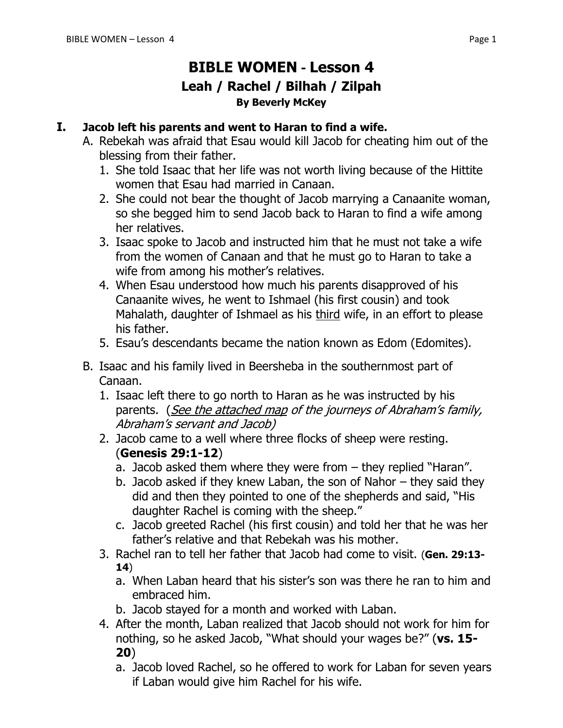## **BIBLE WOMEN - Lesson 4 Leah / Rachel / Bilhah / Zilpah By Beverly McKey**

#### **I. Jacob left his parents and went to Haran to find a wife.**

- A. Rebekah was afraid that Esau would kill Jacob for cheating him out of the blessing from their father.
	- 1. She told Isaac that her life was not worth living because of the Hittite women that Esau had married in Canaan.
	- 2. She could not bear the thought of Jacob marrying a Canaanite woman, so she begged him to send Jacob back to Haran to find a wife among her relatives.
	- 3. Isaac spoke to Jacob and instructed him that he must not take a wife from the women of Canaan and that he must go to Haran to take a wife from among his mother's relatives.
	- 4. When Esau understood how much his parents disapproved of his Canaanite wives, he went to Ishmael (his first cousin) and took Mahalath, daughter of Ishmael as his third wife, in an effort to please his father.
	- 5. Esau's descendants became the nation known as Edom (Edomites).
- B. Isaac and his family lived in Beersheba in the southernmost part of Canaan.
	- 1. Isaac left there to go north to Haran as he was instructed by his parents. (See the attached map of the journeys of Abraham's family, Abraham's servant and Jacob)
	- 2. Jacob came to a well where three flocks of sheep were resting. (**Genesis 29:1-12**)
		- a. Jacob asked them where they were from they replied "Haran".
		- b. Jacob asked if they knew Laban, the son of Nahor they said they did and then they pointed to one of the shepherds and said, "His daughter Rachel is coming with the sheep."
		- c. Jacob greeted Rachel (his first cousin) and told her that he was her father's relative and that Rebekah was his mother.
	- 3. Rachel ran to tell her father that Jacob had come to visit. (**Gen. 29:13- 14**)
		- a. When Laban heard that his sister's son was there he ran to him and embraced him.
		- b. Jacob stayed for a month and worked with Laban.
	- 4. After the month, Laban realized that Jacob should not work for him for nothing, so he asked Jacob, "What should your wages be?" (**vs. 15- 20**)
		- a. Jacob loved Rachel, so he offered to work for Laban for seven years if Laban would give him Rachel for his wife.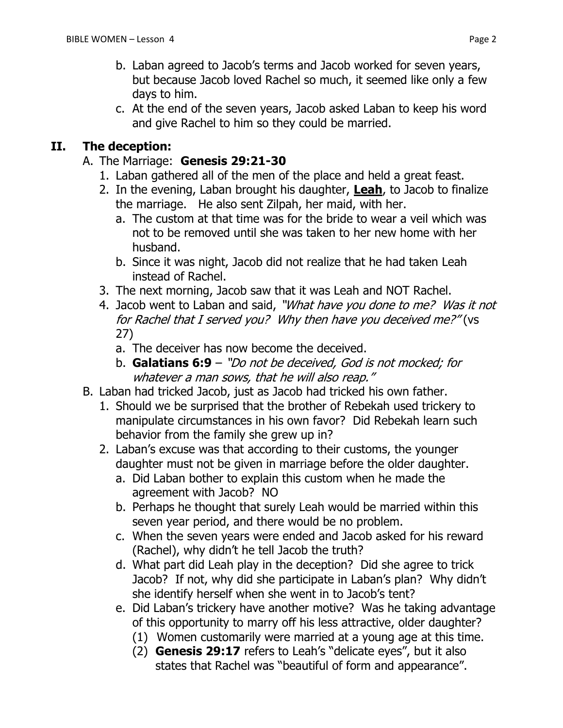- b. Laban agreed to Jacob's terms and Jacob worked for seven years, but because Jacob loved Rachel so much, it seemed like only a few days to him.
- c. At the end of the seven years, Jacob asked Laban to keep his word and give Rachel to him so they could be married.

#### **II. The deception:**

- A. The Marriage: **Genesis 29:21-30**
	- 1. Laban gathered all of the men of the place and held a great feast.
	- 2. In the evening, Laban brought his daughter, **Leah**, to Jacob to finalize the marriage. He also sent Zilpah, her maid, with her.
		- a. The custom at that time was for the bride to wear a veil which was not to be removed until she was taken to her new home with her husband.
		- b. Since it was night, Jacob did not realize that he had taken Leah instead of Rachel.
	- 3. The next morning, Jacob saw that it was Leah and NOT Rachel.
	- 4. Jacob went to Laban and said, "What have you done to me? Was it not for Rachel that I served you? Why then have you deceived me?" (vs 27)
		- a. The deceiver has now become the deceived.
		- b. **Galatians 6:9** "Do not be deceived, God is not mocked; for whatever a man sows, that he will also reap."
- B. Laban had tricked Jacob, just as Jacob had tricked his own father.
	- 1. Should we be surprised that the brother of Rebekah used trickery to manipulate circumstances in his own favor? Did Rebekah learn such behavior from the family she grew up in?
	- 2. Laban's excuse was that according to their customs, the younger daughter must not be given in marriage before the older daughter.
		- a. Did Laban bother to explain this custom when he made the agreement with Jacob? NO
		- b. Perhaps he thought that surely Leah would be married within this seven year period, and there would be no problem.
		- c. When the seven years were ended and Jacob asked for his reward (Rachel), why didn't he tell Jacob the truth?
		- d. What part did Leah play in the deception? Did she agree to trick Jacob? If not, why did she participate in Laban's plan? Why didn't she identify herself when she went in to Jacob's tent?
		- e. Did Laban's trickery have another motive? Was he taking advantage of this opportunity to marry off his less attractive, older daughter?
			- (1) Women customarily were married at a young age at this time.
			- (2) **Genesis 29:17** refers to Leah's "delicate eyes", but it also states that Rachel was "beautiful of form and appearance".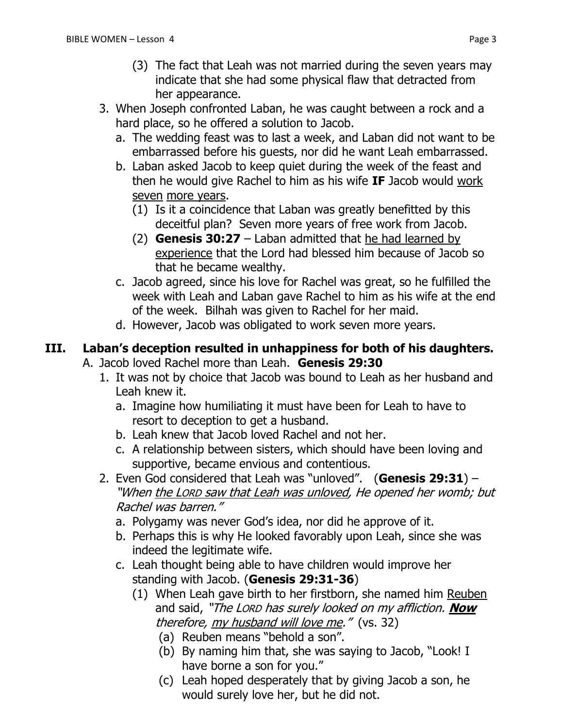- (3) The fact that Leah was not married during the seven years may indicate that she had some physical flaw that detracted from her appearance.
- 3. When Joseph confronted Laban, he was caught between a rock and a hard place, so he offered a solution to Jacob.
	- a. The wedding feast was to last a week, and Laban did not want to be embarrassed before his guests, nor did he want Leah embarrassed.
	- b. Laban asked Jacob to keep quiet during the week of the feast and then he would give Rachel to him as his wife **IF** Jacob would work seven more years.
		- (1) Is it a coincidence that Laban was greatly benefitted by this deceitful plan? Seven more years of free work from Jacob.
		- (2) **Genesis 30:27** Laban admitted that he had learned by experience that the Lord had blessed him because of Jacob so that he became wealthy.
	- c. Jacob agreed, since his love for Rachel was great, so he fulfilled the week with Leah and Laban gave Rachel to him as his wife at the end of the week. Bilhah was given to Rachel for her maid.
	- d. However, Jacob was obligated to work seven more years.

# **III. Laban's deception resulted in unhappiness for both of his daughters.**

- A. Jacob loved Rachel more than Leah. **Genesis 29:30**
	- 1. It was not by choice that Jacob was bound to Leah as her husband and Leah knew it.
		- a. Imagine how humiliating it must have been for Leah to have to resort to deception to get a husband.
		- b. Leah knew that Jacob loved Rachel and not her.
		- c. A relationship between sisters, which should have been loving and supportive, became envious and contentious.
	- 2. Even God considered that Leah was "unloved". (**Genesis 29:31**) "When the LORD saw that Leah was unloved, He opened her womb; but Rachel was barren."
		- a. Polygamy was never God's idea, nor did he approve of it.
		- b. Perhaps this is why He looked favorably upon Leah, since she was indeed the legitimate wife.
		- c. Leah thought being able to have children would improve her standing with Jacob. (**Genesis 29:31-36**)
			- (1) When Leah gave birth to her firstborn, she named him Reuben and said, "The LORD has surely looked on my affliction. **Now** therefore, my husband will love me." (vs. 32)
				- (a) Reuben means "behold a son".
				- (b) By naming him that, she was saying to Jacob, "Look! I have borne a son for you."
				- (c) Leah hoped desperately that by giving Jacob a son, he would surely love her, but he did not.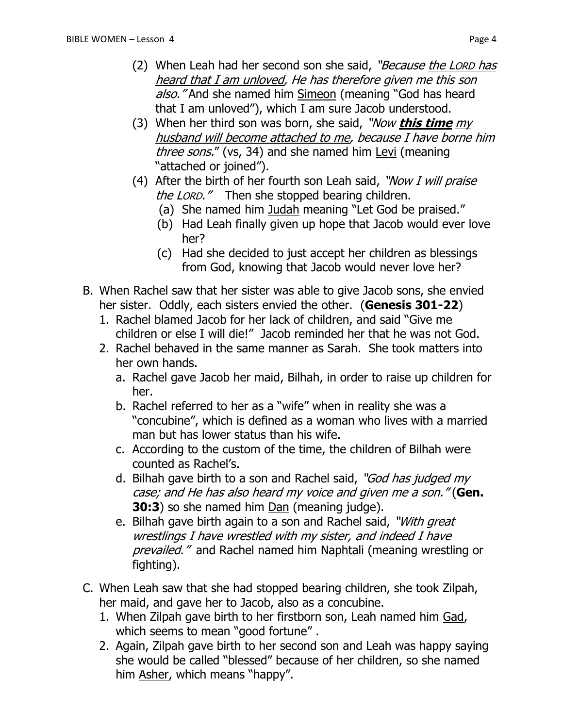- (2) When Leah had her second son she said, "*Because the LORD has* heard that I am unloved, He has therefore given me this son also." And she named him Simeon (meaning "God has heard that I am unloved"), which I am sure Jacob understood.
- (3) When her third son was born, she said, "Now **this time** my husband will become attached to me, because I have borne him three sons." (vs, 34) and she named him Levi (meaning "attached or joined").
- (4) After the birth of her fourth son Leah said, "Now I will praise the LORD." Then she stopped bearing children.
	- (a) She named him Judah meaning "Let God be praised."
	- (b) Had Leah finally given up hope that Jacob would ever love her?
	- (c) Had she decided to just accept her children as blessings from God, knowing that Jacob would never love her?
- B. When Rachel saw that her sister was able to give Jacob sons, she envied her sister. Oddly, each sisters envied the other. (**Genesis 301-22**)
	- 1. Rachel blamed Jacob for her lack of children, and said "Give me children or else I will die!" Jacob reminded her that he was not God.
	- 2. Rachel behaved in the same manner as Sarah. She took matters into her own hands.
		- a. Rachel gave Jacob her maid, Bilhah, in order to raise up children for her.
		- b. Rachel referred to her as a "wife" when in reality she was a "concubine", which is defined as a woman who lives with a married man but has lower status than his wife.
		- c. According to the custom of the time, the children of Bilhah were counted as Rachel's.
		- d. Bilhah gave birth to a son and Rachel said, "God has judged my case; and He has also heard my voice and given me a son." (**Gen. 30:3**) so she named him Dan (meaning judge).
		- e. Bilhah gave birth again to a son and Rachel said, "With great wrestlings I have wrestled with my sister, and indeed I have prevailed." and Rachel named him Naphtali (meaning wrestling or fighting).
- C. When Leah saw that she had stopped bearing children, she took Zilpah, her maid, and gave her to Jacob, also as a concubine.
	- 1. When Zilpah gave birth to her firstborn son, Leah named him Gad, which seems to mean "good fortune".
	- 2. Again, Zilpah gave birth to her second son and Leah was happy saying she would be called "blessed" because of her children, so she named him Asher, which means "happy".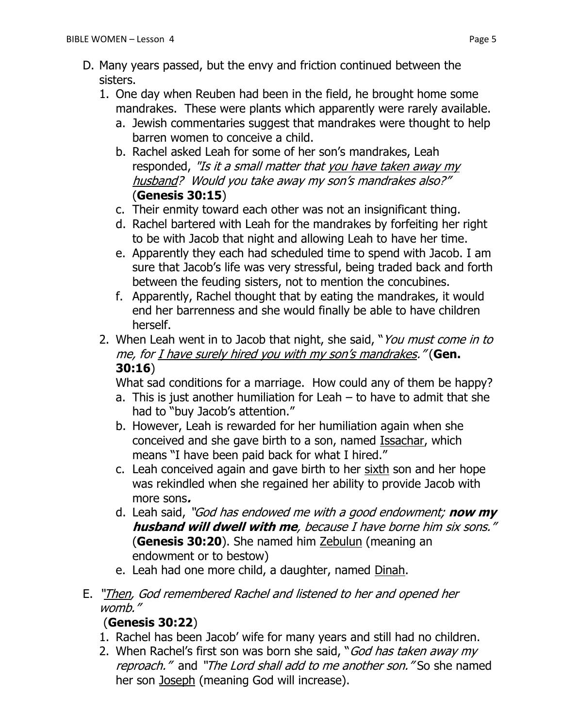- D. Many years passed, but the envy and friction continued between the sisters.
	- 1. One day when Reuben had been in the field, he brought home some mandrakes. These were plants which apparently were rarely available.
		- a. Jewish commentaries suggest that mandrakes were thought to help barren women to conceive a child.
		- b. Rachel asked Leah for some of her son's mandrakes, Leah responded, "Is it a small matter that you have taken away my husband? Would you take away my son's mandrakes also?" (**Genesis 30:15**)
		- c. Their enmity toward each other was not an insignificant thing.
		- d. Rachel bartered with Leah for the mandrakes by forfeiting her right to be with Jacob that night and allowing Leah to have her time.
		- e. Apparently they each had scheduled time to spend with Jacob. I am sure that Jacob's life was very stressful, being traded back and forth between the feuding sisters, not to mention the concubines.
		- f. Apparently, Rachel thought that by eating the mandrakes, it would end her barrenness and she would finally be able to have children herself.
	- 2. When Leah went in to Jacob that night, she said, "You must come in to me, for I have surely hired you with my son's mandrakes." (**Gen. 30:16**)

What sad conditions for a marriage. How could any of them be happy?

- a. This is just another humiliation for Leah to have to admit that she had to "buy Jacob's attention."
- b. However, Leah is rewarded for her humiliation again when she conceived and she gave birth to a son, named Issachar, which means "I have been paid back for what I hired."
- c. Leah conceived again and gave birth to her sixth son and her hope was rekindled when she regained her ability to provide Jacob with more sons**.**
- d. Leah said, "God has endowed me with a good endowment; **now my husband will dwell with me**, because I have borne him six sons." (**Genesis 30:20**). She named him Zebulun (meaning an endowment or to bestow)
- e. Leah had one more child, a daughter, named Dinah.
- E. "Then, God remembered Rachel and listened to her and opened her womb."

### (**Genesis 30:22**)

- 1. Rachel has been Jacob' wife for many years and still had no children.
- 2. When Rachel's first son was born she said, "God has taken away my reproach." and "The Lord shall add to me another son." So she named her son Joseph (meaning God will increase).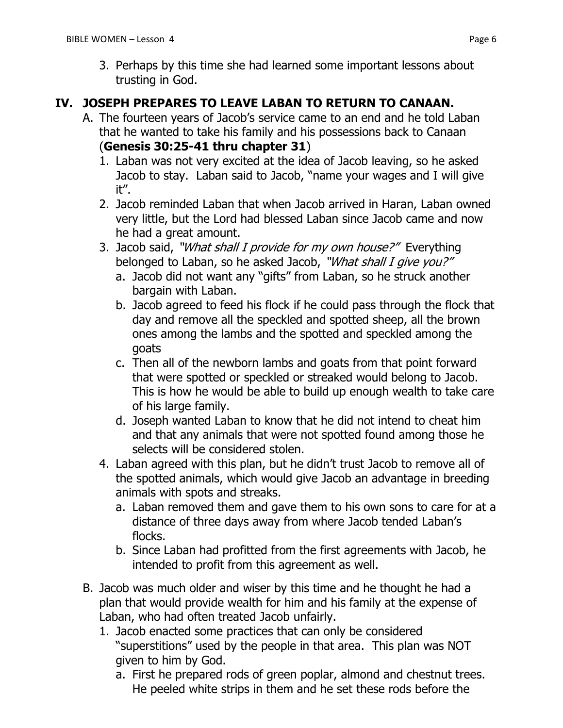#### **IV. JOSEPH PREPARES TO LEAVE LABAN TO RETURN TO CANAAN.**

- A. The fourteen years of Jacob's service came to an end and he told Laban that he wanted to take his family and his possessions back to Canaan (**Genesis 30:25-41 thru chapter 31**)
	- 1. Laban was not very excited at the idea of Jacob leaving, so he asked Jacob to stay. Laban said to Jacob, "name your wages and I will give it".
	- 2. Jacob reminded Laban that when Jacob arrived in Haran, Laban owned very little, but the Lord had blessed Laban since Jacob came and now he had a great amount.
	- 3. Jacob said, "What shall I provide for my own house?" Everything belonged to Laban, so he asked Jacob, "What shall I give you?"
		- a. Jacob did not want any "gifts" from Laban, so he struck another bargain with Laban.
		- b. Jacob agreed to feed his flock if he could pass through the flock that day and remove all the speckled and spotted sheep, all the brown ones among the lambs and the spotted and speckled among the goats
		- c. Then all of the newborn lambs and goats from that point forward that were spotted or speckled or streaked would belong to Jacob. This is how he would be able to build up enough wealth to take care of his large family.
		- d. Joseph wanted Laban to know that he did not intend to cheat him and that any animals that were not spotted found among those he selects will be considered stolen.
	- 4. Laban agreed with this plan, but he didn't trust Jacob to remove all of the spotted animals, which would give Jacob an advantage in breeding animals with spots and streaks.
		- a. Laban removed them and gave them to his own sons to care for at a distance of three days away from where Jacob tended Laban's flocks.
		- b. Since Laban had profitted from the first agreements with Jacob, he intended to profit from this agreement as well.
- B. Jacob was much older and wiser by this time and he thought he had a plan that would provide wealth for him and his family at the expense of Laban, who had often treated Jacob unfairly.
	- 1. Jacob enacted some practices that can only be considered "superstitions" used by the people in that area. This plan was NOT given to him by God.
		- a. First he prepared rods of green poplar, almond and chestnut trees. He peeled white strips in them and he set these rods before the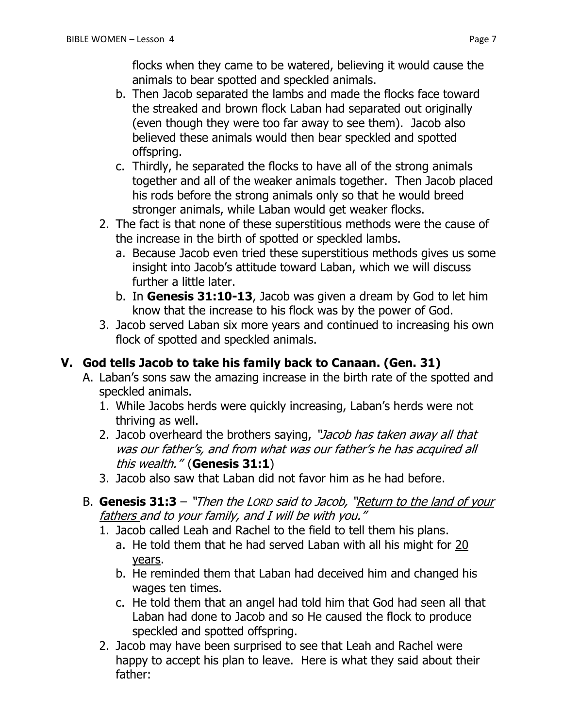flocks when they came to be watered, believing it would cause the animals to bear spotted and speckled animals.

- b. Then Jacob separated the lambs and made the flocks face toward the streaked and brown flock Laban had separated out originally (even though they were too far away to see them). Jacob also believed these animals would then bear speckled and spotted offspring.
- c. Thirdly, he separated the flocks to have all of the strong animals together and all of the weaker animals together. Then Jacob placed his rods before the strong animals only so that he would breed stronger animals, while Laban would get weaker flocks.
- 2. The fact is that none of these superstitious methods were the cause of the increase in the birth of spotted or speckled lambs.
	- a. Because Jacob even tried these superstitious methods gives us some insight into Jacob's attitude toward Laban, which we will discuss further a little later.
	- b. In **Genesis 31:10-13**, Jacob was given a dream by God to let him know that the increase to his flock was by the power of God.
- 3. Jacob served Laban six more years and continued to increasing his own flock of spotted and speckled animals.

### **V. God tells Jacob to take his family back to Canaan. (Gen. 31)**

- A. Laban's sons saw the amazing increase in the birth rate of the spotted and speckled animals.
	- 1. While Jacobs herds were quickly increasing, Laban's herds were not thriving as well.
	- 2. Jacob overheard the brothers saying, "Jacob has taken away all that was our father's, and from what was our father's he has acquired all this wealth." (**Genesis 31:1**)
	- 3. Jacob also saw that Laban did not favor him as he had before.
- B. **Genesis 31:3** "Then the LORD said to Jacob, "Return to the land of your fathers and to your family, and I will be with you."
	- 1. Jacob called Leah and Rachel to the field to tell them his plans.
		- a. He told them that he had served Laban with all his might for 20 years.
		- b. He reminded them that Laban had deceived him and changed his wages ten times.
		- c. He told them that an angel had told him that God had seen all that Laban had done to Jacob and so He caused the flock to produce speckled and spotted offspring.
	- 2. Jacob may have been surprised to see that Leah and Rachel were happy to accept his plan to leave. Here is what they said about their father: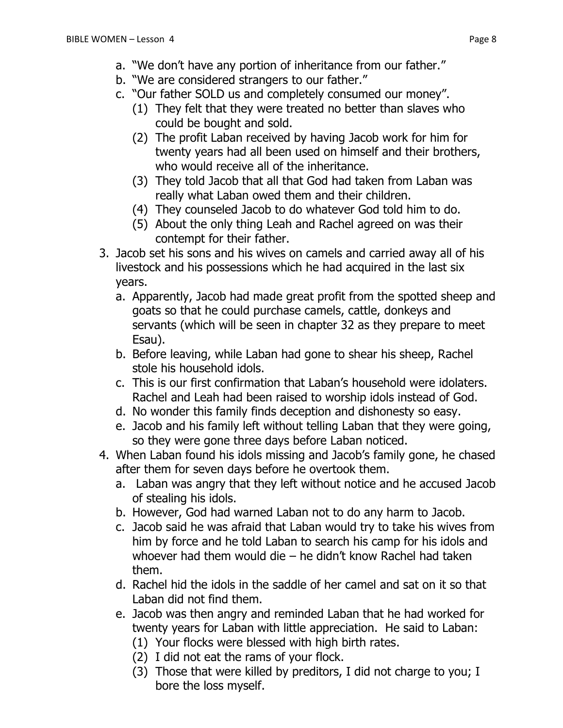- b. "We are considered strangers to our father."
- c. "Our father SOLD us and completely consumed our money".
	- (1) They felt that they were treated no better than slaves who could be bought and sold.
	- (2) The profit Laban received by having Jacob work for him for twenty years had all been used on himself and their brothers, who would receive all of the inheritance.
	- (3) They told Jacob that all that God had taken from Laban was really what Laban owed them and their children.
	- (4) They counseled Jacob to do whatever God told him to do.
	- (5) About the only thing Leah and Rachel agreed on was their contempt for their father.
- 3. Jacob set his sons and his wives on camels and carried away all of his livestock and his possessions which he had acquired in the last six years.
	- a. Apparently, Jacob had made great profit from the spotted sheep and goats so that he could purchase camels, cattle, donkeys and servants (which will be seen in chapter 32 as they prepare to meet Esau).
	- b. Before leaving, while Laban had gone to shear his sheep, Rachel stole his household idols.
	- c. This is our first confirmation that Laban's household were idolaters. Rachel and Leah had been raised to worship idols instead of God.
	- d. No wonder this family finds deception and dishonesty so easy.
	- e. Jacob and his family left without telling Laban that they were going, so they were gone three days before Laban noticed.
- 4. When Laban found his idols missing and Jacob's family gone, he chased after them for seven days before he overtook them.
	- a. Laban was angry that they left without notice and he accused Jacob of stealing his idols.
	- b. However, God had warned Laban not to do any harm to Jacob.
	- c. Jacob said he was afraid that Laban would try to take his wives from him by force and he told Laban to search his camp for his idols and whoever had them would die – he didn't know Rachel had taken them.
	- d. Rachel hid the idols in the saddle of her camel and sat on it so that Laban did not find them.
	- e. Jacob was then angry and reminded Laban that he had worked for twenty years for Laban with little appreciation. He said to Laban:
		- (1) Your flocks were blessed with high birth rates.
		- (2) I did not eat the rams of your flock.
		- (3) Those that were killed by preditors, I did not charge to you; I bore the loss myself.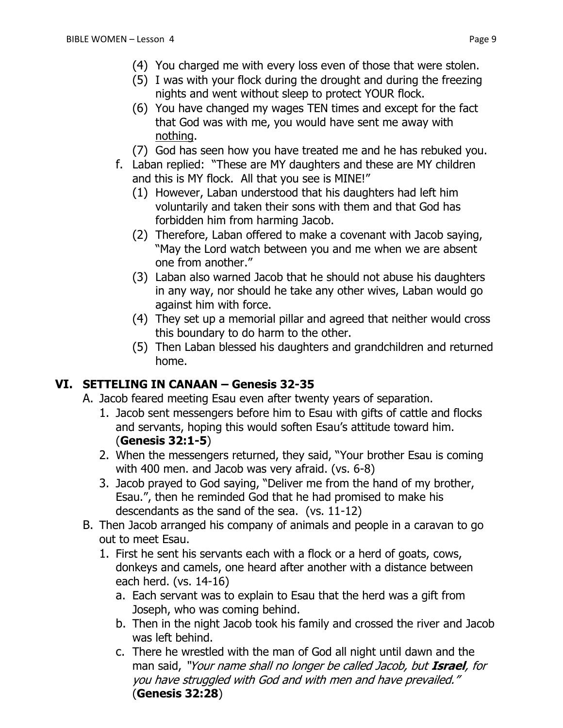- (5) I was with your flock during the drought and during the freezing nights and went without sleep to protect YOUR flock.
- (6) You have changed my wages TEN times and except for the fact that God was with me, you would have sent me away with nothing.
- (7) God has seen how you have treated me and he has rebuked you.
- f. Laban replied: "These are MY daughters and these are MY children and this is MY flock. All that you see is MINE!"
	- (1) However, Laban understood that his daughters had left him voluntarily and taken their sons with them and that God has forbidden him from harming Jacob.
	- (2) Therefore, Laban offered to make a covenant with Jacob saying, "May the Lord watch between you and me when we are absent one from another."
	- (3) Laban also warned Jacob that he should not abuse his daughters in any way, nor should he take any other wives, Laban would go against him with force.
	- (4) They set up a memorial pillar and agreed that neither would cross this boundary to do harm to the other.
	- (5) Then Laban blessed his daughters and grandchildren and returned home.

### **VI. SETTELING IN CANAAN – Genesis 32-35**

- A. Jacob feared meeting Esau even after twenty years of separation.
	- 1. Jacob sent messengers before him to Esau with gifts of cattle and flocks and servants, hoping this would soften Esau's attitude toward him. (**Genesis 32:1-5**)
	- 2. When the messengers returned, they said, "Your brother Esau is coming with 400 men. and Jacob was very afraid. (vs. 6-8)
	- 3. Jacob prayed to God saying, "Deliver me from the hand of my brother, Esau.", then he reminded God that he had promised to make his descendants as the sand of the sea. (vs. 11-12)
- B. Then Jacob arranged his company of animals and people in a caravan to go out to meet Esau.
	- 1. First he sent his servants each with a flock or a herd of goats, cows, donkeys and camels, one heard after another with a distance between each herd. (vs. 14-16)
		- a. Each servant was to explain to Esau that the herd was a gift from Joseph, who was coming behind.
		- b. Then in the night Jacob took his family and crossed the river and Jacob was left behind.
		- c. There he wrestled with the man of God all night until dawn and the man said, "Your name shall no longer be called Jacob, but **Israel**, for you have struggled with God and with men and have prevailed." (**Genesis 32:28**)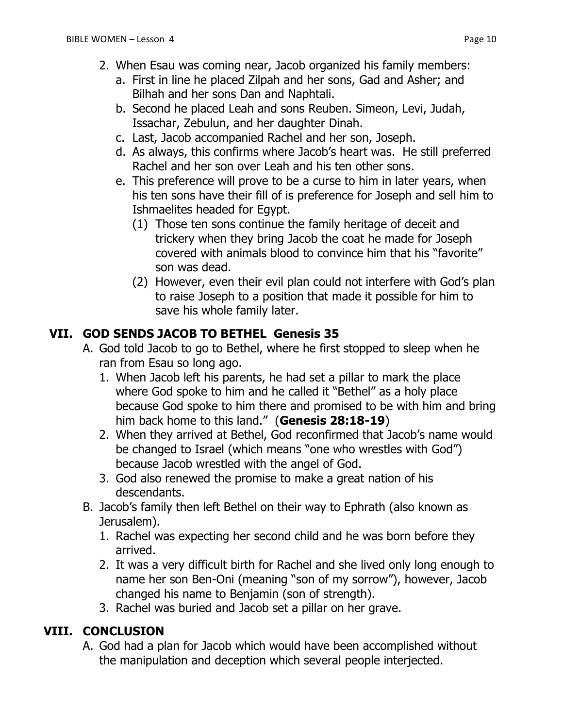- 2. When Esau was coming near, Jacob organized his family members:
	- a. First in line he placed Zilpah and her sons, Gad and Asher; and Bilhah and her sons Dan and Naphtali.
	- b. Second he placed Leah and sons [Reuben.](http://en.wikipedia.org/wiki/Reuben_%28Bible%29) [Simeon,](http://en.wikipedia.org/wiki/Simeon_%28Hebrew_Bible%29) [Levi,](http://en.wikipedia.org/wiki/Levi) [Judah,](http://en.wikipedia.org/wiki/Judah_%28biblical_person%29) [Issachar,](http://en.wikipedia.org/wiki/Issachar) [Zebulun,](http://en.wikipedia.org/wiki/Zebulun) and her daughter [Dinah.](http://en.wikipedia.org/wiki/Dinah)
	- c. Last, Jacob accompanied Rachel and her son, Joseph.
	- d. As always, this confirms where Jacob's heart was. He still preferred Rachel and her son over Leah and his ten other sons.
	- e. This preference will prove to be a curse to him in later years, when his ten sons have their fill of is preference for Joseph and sell him to Ishmaelites headed for Egypt.
		- (1) Those ten sons continue the family heritage of deceit and trickery when they bring Jacob the coat he made for Joseph covered with animals blood to convince him that his "favorite" son was dead.
		- (2) However, even their evil plan could not interfere with God's plan to raise Joseph to a position that made it possible for him to save his whole family later.

#### **VII. GOD SENDS JACOB TO BETHEL Genesis 35**

- A. God told Jacob to go to Bethel, where he first stopped to sleep when he ran from Esau so long ago.
	- 1. When Jacob left his parents, he had set a pillar to mark the place where God spoke to him and he called it "Bethel" as a holy place because God spoke to him there and promised to be with him and bring him back home to this land." (**Genesis 28:18-19**)
	- 2. When they arrived at Bethel, God reconfirmed that Jacob's name would be changed to Israel (which means "one who wrestles with God") because Jacob wrestled with the angel of God.
	- 3. God also renewed the promise to make a great nation of his descendants.
- B. Jacob's family then left Bethel on their way to Ephrath (also known as Jerusalem).
	- 1. Rachel was expecting her second child and he was born before they arrived.
	- 2. It was a very difficult birth for Rachel and she lived only long enough to name her son Ben-Oni (meaning "son of my sorrow"), however, Jacob changed his name to Benjamin (son of strength).
	- 3. Rachel was buried and Jacob set a pillar on her grave.

#### **VIII. CONCLUSION**

A. God had a plan for Jacob which would have been accomplished without the manipulation and deception which several people interjected.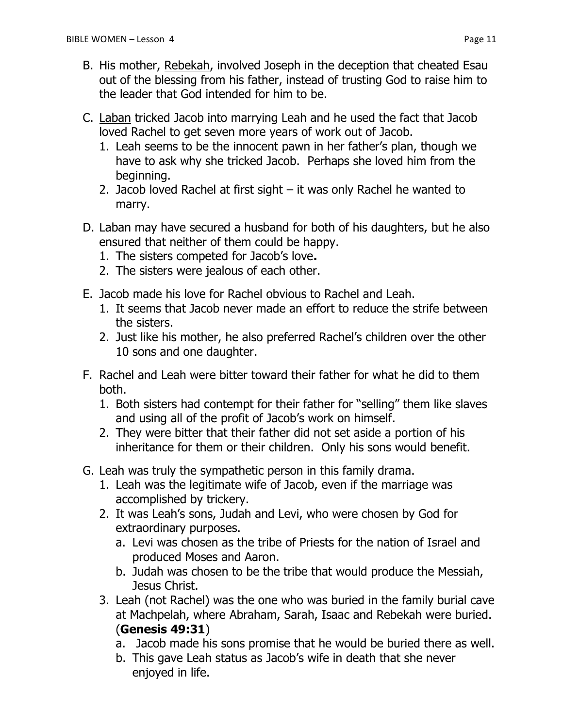- C. Laban tricked Jacob into marrying Leah and he used the fact that Jacob loved Rachel to get seven more years of work out of Jacob.
	- 1. Leah seems to be the innocent pawn in her father's plan, though we have to ask why she tricked Jacob. Perhaps she loved him from the beginning.
	- 2. Jacob loved Rachel at first sight it was only Rachel he wanted to marry.
- D. Laban may have secured a husband for both of his daughters, but he also ensured that neither of them could be happy.
	- 1. The sisters competed for Jacob's love**.**
	- 2. The sisters were jealous of each other.
- E. Jacob made his love for Rachel obvious to Rachel and Leah.
	- 1. It seems that Jacob never made an effort to reduce the strife between the sisters.
	- 2. Just like his mother, he also preferred Rachel's children over the other 10 sons and one daughter.
- F. Rachel and Leah were bitter toward their father for what he did to them both.
	- 1. Both sisters had contempt for their father for "selling" them like slaves and using all of the profit of Jacob's work on himself.
	- 2. They were bitter that their father did not set aside a portion of his inheritance for them or their children. Only his sons would benefit.
- G. Leah was truly the sympathetic person in this family drama.
	- 1. Leah was the legitimate wife of Jacob, even if the marriage was accomplished by trickery.
	- 2. It was Leah's sons, Judah and Levi, who were chosen by God for extraordinary purposes.
		- a. Levi was chosen as the tribe of Priests for the nation of Israel and produced Moses and Aaron.
		- b. Judah was chosen to be the tribe that would produce the Messiah, Jesus Christ.
	- 3. Leah (not Rachel) was the one who was buried in the family burial cave at Machpelah, where Abraham, Sarah, Isaac and Rebekah were buried. (**Genesis 49:31**)
		- a. Jacob made his sons promise that he would be buried there as well.
		- b. This gave Leah status as Jacob's wife in death that she never enjoyed in life.